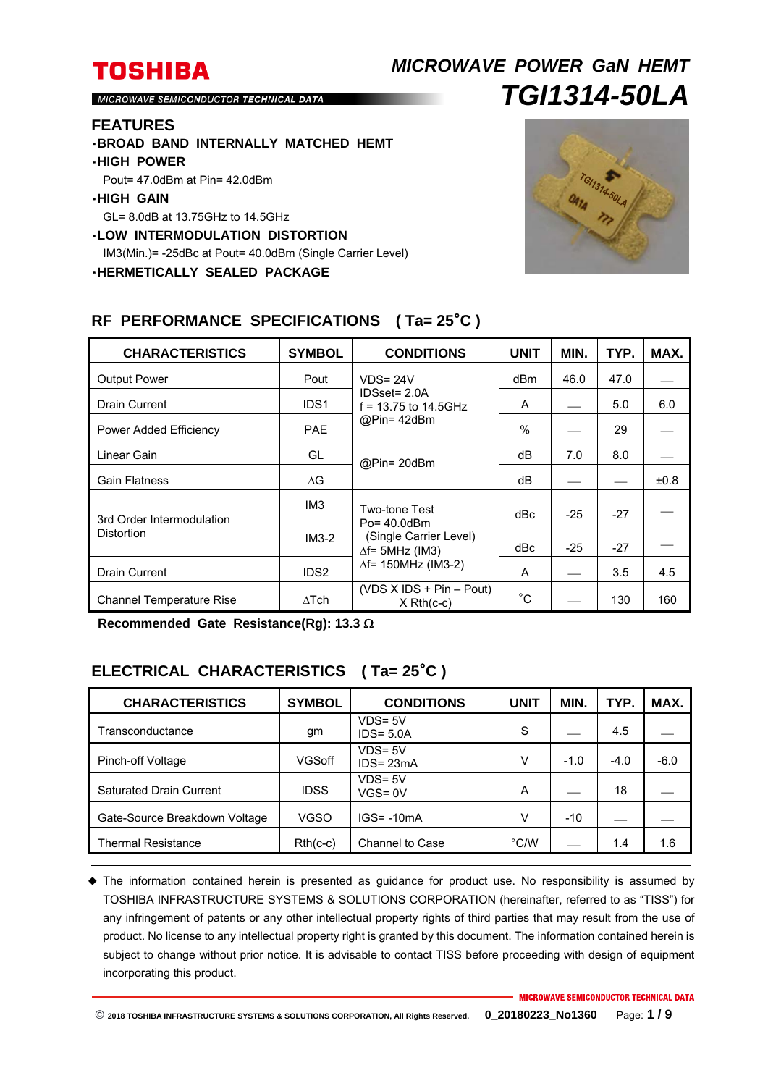# **TOSHIBA** *MICROWAVE POWER GaN HEMT TGI1314-50LA*

MICROWAVE SEMICONDUCTOR TECHNICAL DATA

#### **FEATURES**

- ・**BROAD BAND INTERNALLY MATCHED HEMT**
- ・**HIGH POWER**
- Pout= 47.0dBm at Pin= 42.0dBm

### ・**HIGH GAIN**

GL= 8.0dB at 13.75GHz to 14.5GHz

- ・**LOW INTERMODULATION DISTORTION**
- IM3(Min.)= -25dBc at Pout= 40.0dBm (Single Carrier Level)
- ・**HERMETICALLY SEALED PACKAGE**



| <b>CHARACTERISTICS</b>                         | <b>SYMBOL</b>    | <b>CONDITIONS</b>                                                                                                   | <b>UNIT</b>   | MIN.  | TYP.  | MAX. |
|------------------------------------------------|------------------|---------------------------------------------------------------------------------------------------------------------|---------------|-------|-------|------|
| <b>Output Power</b>                            | Pout             | $VDS = 24V$<br>IDSset= 2.0A<br>$f = 13.75$ to 14.5GHz<br>@Pin= 42dBm                                                | dBm           | 46.0  | 47.0  |      |
| <b>Drain Current</b>                           | IDS1             |                                                                                                                     | A             |       | 5.0   | 6.0  |
| Power Added Efficiency                         | <b>PAE</b>       |                                                                                                                     | $\frac{0}{0}$ |       | 29    |      |
| Linear Gain                                    | GL               | @Pin= 20dBm                                                                                                         | dВ            | 7.0   | 8.0   |      |
| <b>Gain Flatness</b>                           | $\Delta G$       |                                                                                                                     | dB            |       |       | ±0.8 |
| 3rd Order Intermodulation<br><b>Distortion</b> | IM <sub>3</sub>  | Two-tone Test<br>$Po = 40.0dBm$<br>(Single Carrier Level)<br>$\Delta f$ = 5MHz (IM3)<br>$\Delta f$ = 150MHz (IM3-2) | dBc           | $-25$ | $-27$ |      |
|                                                | $IM3-2$          |                                                                                                                     | dBc           | $-25$ | $-27$ |      |
| <b>Drain Current</b>                           | IDS <sub>2</sub> |                                                                                                                     | A             |       | 3.5   | 4.5  |
| <b>Channel Temperature Rise</b>                | $\Delta$ Tch     | $(VDS X IDs + Pin - Pout)$<br>$X$ Rth(c-c)                                                                          | $^{\circ}C$   |       | 130   | 160  |

### **RF PERFORMANCE SPECIFICATIONS ( Ta= 25**°**C )**

**Recommended Gate Resistance(Rg): 13.3** 

### **ELECTRICAL CHARACTERISTICS ( Ta= 25**°**C )**

| <b>CHARACTERISTICS</b>         | <b>SYMBOL</b> | <b>CONDITIONS</b>          | <b>UNIT</b> | MIN.   | TYP.   | MAX.   |
|--------------------------------|---------------|----------------------------|-------------|--------|--------|--------|
| <sup>-</sup> ransconductance   | gm            | $VDS = 5V$<br>$IDS = 5.0A$ | S           |        | 4.5    |        |
| Pinch-off Voltage              | VGSoff        | $VDS = 5V$<br>$IDS = 23mA$ | V           | $-1.0$ | $-4.0$ | $-6.0$ |
| <b>Saturated Drain Current</b> | <b>IDSS</b>   | $VDS = 5V$<br>VGS=0V       | A           |        | 18     |        |
| Gate-Source Breakdown Voltage  | VGSO          | $IGS = -10mA$              | $\vee$      | $-10$  |        |        |
| <b>Thermal Resistance</b>      | $Rth(c-c)$    | Channel to Case            | °C/W        |        | 1.4    | 1.6    |

 The information contained herein is presented as guidance for product use. No responsibility is assumed by TOSHIBA INFRASTRUCTURE SYSTEMS & SOLUTIONS CORPORATION (hereinafter, referred to as "TISS") for any infringement of patents or any other intellectual property rights of third parties that may result from the use of product. No license to any intellectual property right is granted by this document. The information contained herein is subject to change without prior notice. It is advisable to contact TISS before proceeding with design of equipment incorporating this product.

**© 2018 TOSHIBA INFRASTRUCTURE SYSTEMS & SOLUTIONS CORPORATION, All Rights Reserved. 0\_20180223\_No1360** Page: **1 / 9**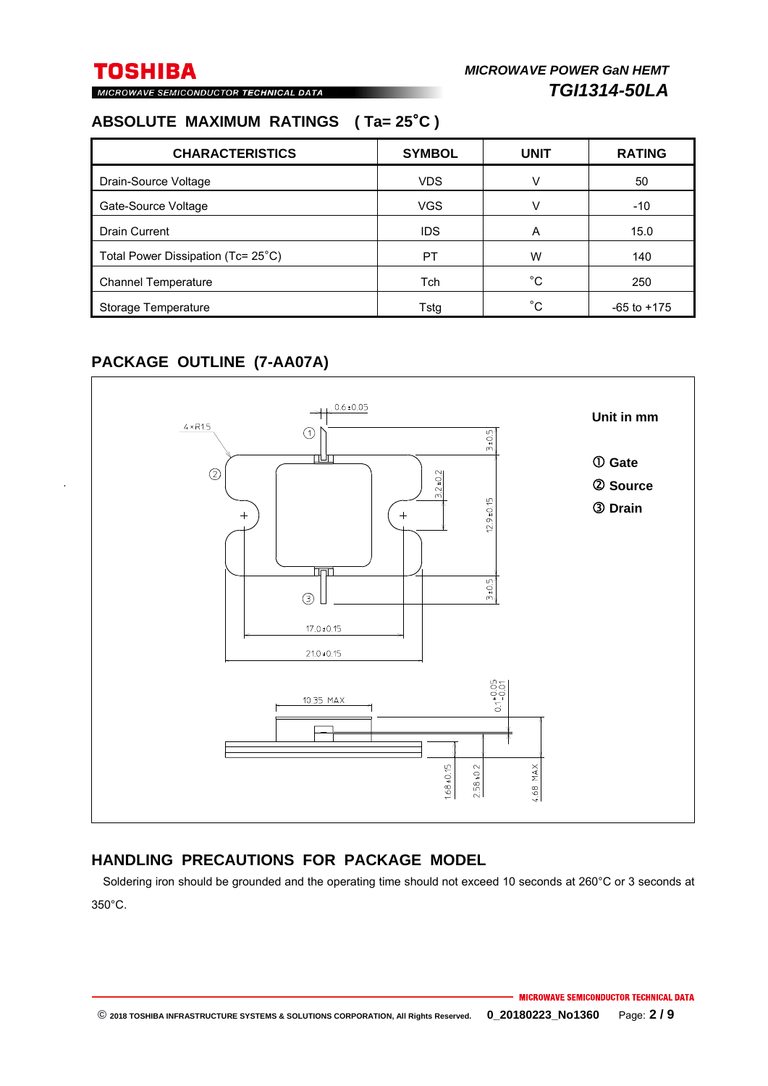MICROWAVE SEMICONDUCTOR TECHNICAL DATA

### **ABSOLUTE MAXIMUM RATINGS ( Ta= 25**°**C )**

| <b>CHARACTERISTICS</b>             | <b>SYMBOL</b> | <b>UNIT</b> | <b>RATING</b>   |
|------------------------------------|---------------|-------------|-----------------|
| Drain-Source Voltage               | <b>VDS</b>    |             | 50              |
| Gate-Source Voltage                | <b>VGS</b>    |             | $-10$           |
| <b>Drain Current</b>               | <b>IDS</b>    | A           | 15.0            |
| Total Power Dissipation (Tc= 25°C) | PT            | W           | 140             |
| <b>Channel Temperature</b>         | Tch           | $^{\circ}C$ | 250             |
| Storage Temperature                | Tstg          | °C.         | $-65$ to $+175$ |

### **PACKAGE OUTLINE (7-AA07A)**



### **HANDLING PRECAUTIONS FOR PACKAGE MODEL**

Soldering iron should be grounded and the operating time should not exceed 10 seconds at 260°C or 3 seconds at 350°C.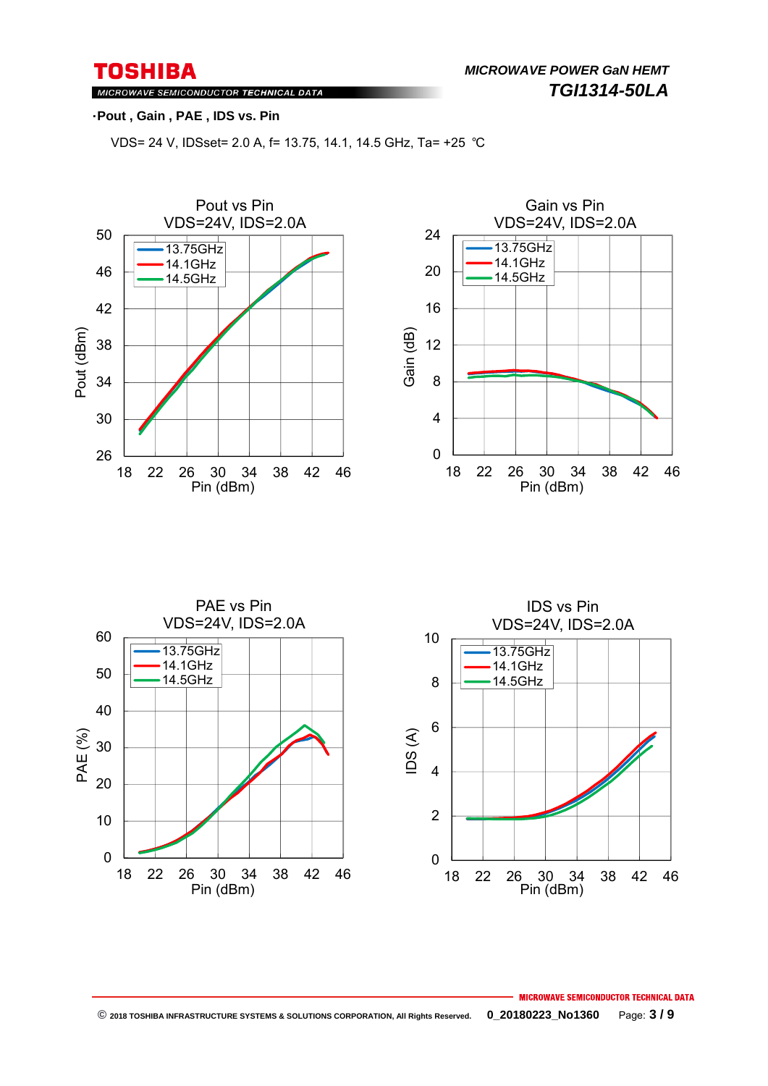*MICROWAVE POWER GaN HEMT TGI1314-50LA* 

MICROWAVE SEMICONDUCTOR TECHNICAL DATA

### ・**Pout , Gain , PAE , IDS vs. Pin**

VDS= 24 V, IDSset= 2.0 A, f= 13.75, 14.1, 14.5 GHz, Ta= +25 ℃







### **MICROWAVE SEMICONDUCTOR TECHNICAL DATA © 2018 TOSHIBA INFRASTRUCTURE SYSTEMS & SOLUTIONS CORPORATION, All Rights Reserved. 0\_20180223\_No1360** Page: **3 / 9**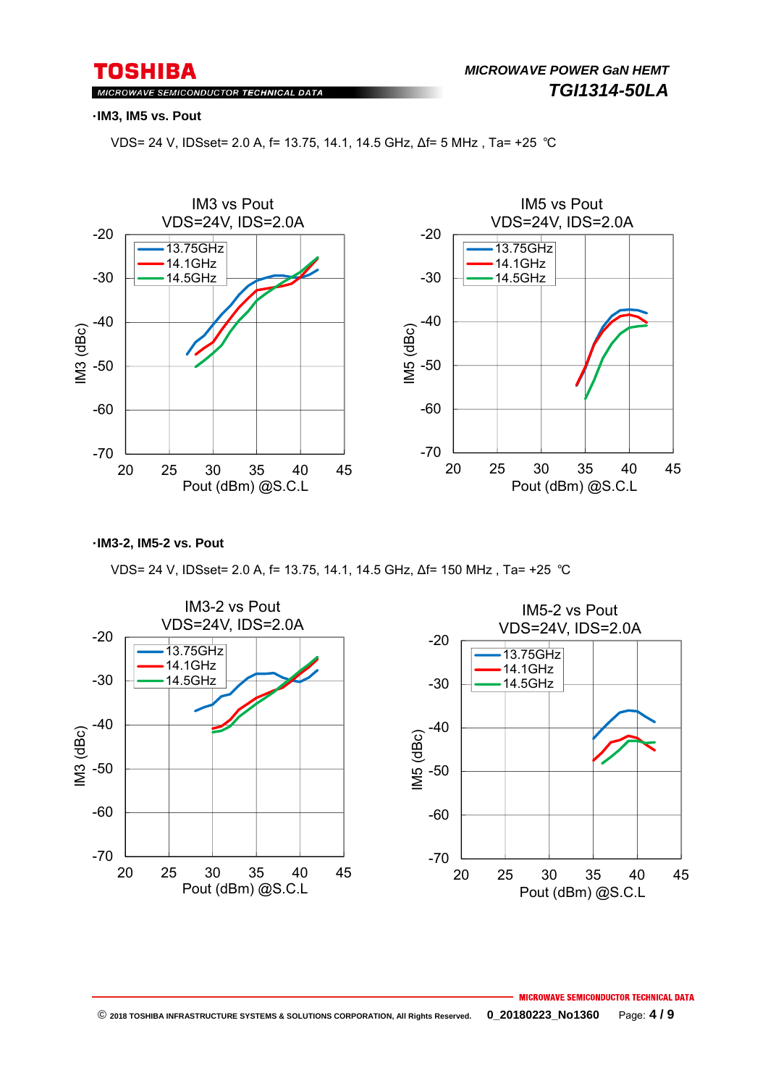MICROWAVE SEMICONDUCTOR TECHNICAL DATA

#### ・**IM3, IM5 vs. Pout**

VDS= 24 V, IDSset= 2.0 A, f= 13.75, 14.1, 14.5 GHz, ∆f= 5 MHz , Ta= +25 ℃



#### ・**IM3-2, IM5-2 vs. Pout**

VDS= 24 V, IDSset= 2.0 A, f= 13.75, 14.1, 14.5 GHz, ∆f= 150 MHz , Ta= +25 ℃



### **MICROWAVE SEMICONDUCTOR TECHNICAL DATA © 2018 TOSHIBA INFRASTRUCTURE SYSTEMS & SOLUTIONS CORPORATION, All Rights Reserved. 0\_20180223\_No1360** Page: **4 / 9**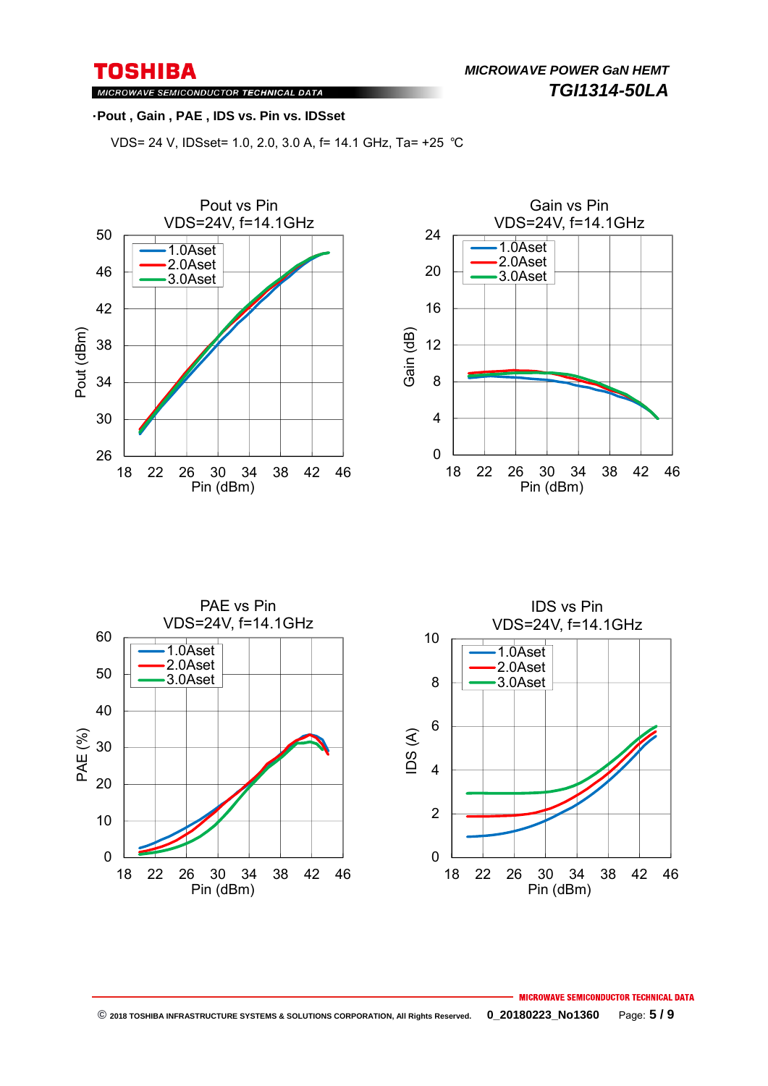*MICROWAVE POWER GaN HEMT TGI1314-50LA* 

MICROWAVE SEMICONDUCTOR TECHNICAL DATA

#### ・**Pout , Gain , PAE , IDS vs. Pin vs. IDSset**

VDS= 24 V, IDSset= 1.0, 2.0, 3.0 A, f= 14.1 GHz, Ta= +25 ℃







### **MICROWAVE SEMICONDUCTOR TECHNICAL DATA © 2018 TOSHIBA INFRASTRUCTURE SYSTEMS & SOLUTIONS CORPORATION, All Rights Reserved. 0\_20180223\_No1360** Page: **5 / 9**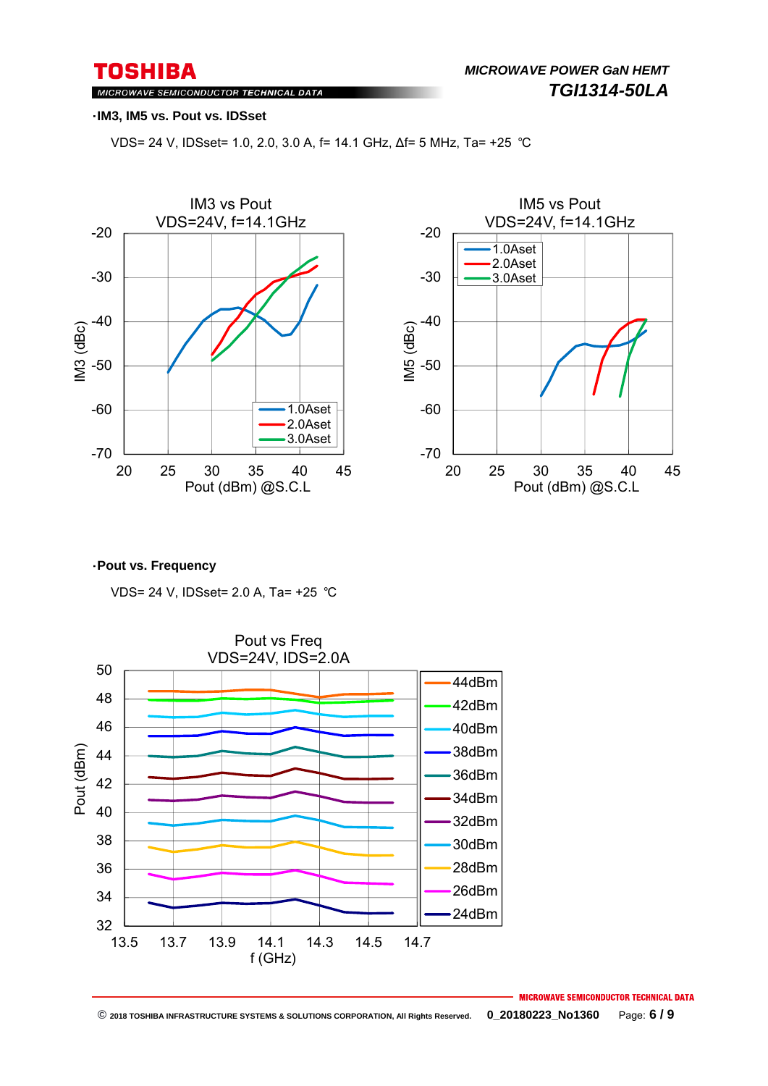MICROWAVE SEMICONDUCTOR TECHNICAL DATA

#### ・**IM3, IM5 vs. Pout vs. IDSset**

VDS= 24 V, IDSset= 1.0, 2.0, 3.0 A, f= 14.1 GHz, ∆f= 5 MHz, Ta= +25 ℃





#### ・**Pout vs. Frequency**

VDS= 24 V, IDSset= 2.0 A, Ta= +25 ℃



**MICROWAVE SEMICONDUCTOR TECHNICAL DATA**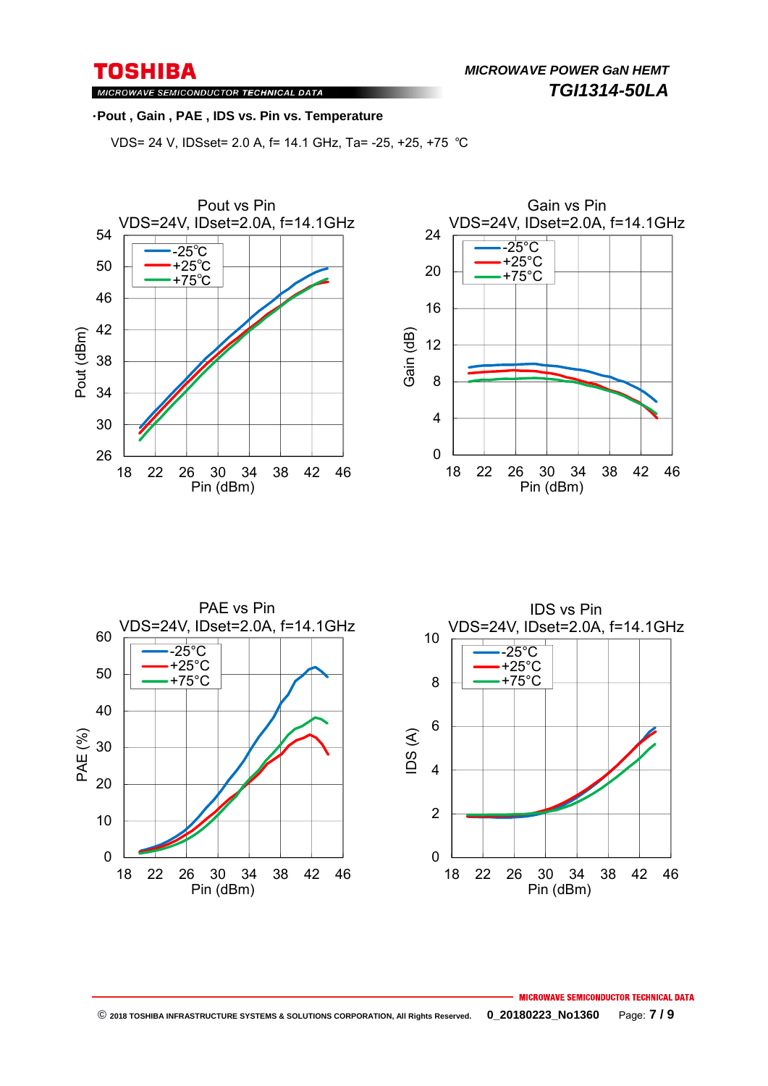MICROWAVE SEMICONDUCTOR TECHNICAL DATA

### ・**Pout , Gain , PAE , IDS vs. Pin vs. Temperature**

VDS= 24 V, IDSset= 2.0 A, f= 14.1 GHz, Ta= -25, +25, +75 ℃







**MICROWAVE SEMICONDUCTOR TECHNICAL DATA © 2018 TOSHIBA INFRASTRUCTURE SYSTEMS & SOLUTIONS CORPORATION, All Rights Reserved. 0\_20180223\_No1360** Page: **7 / 9**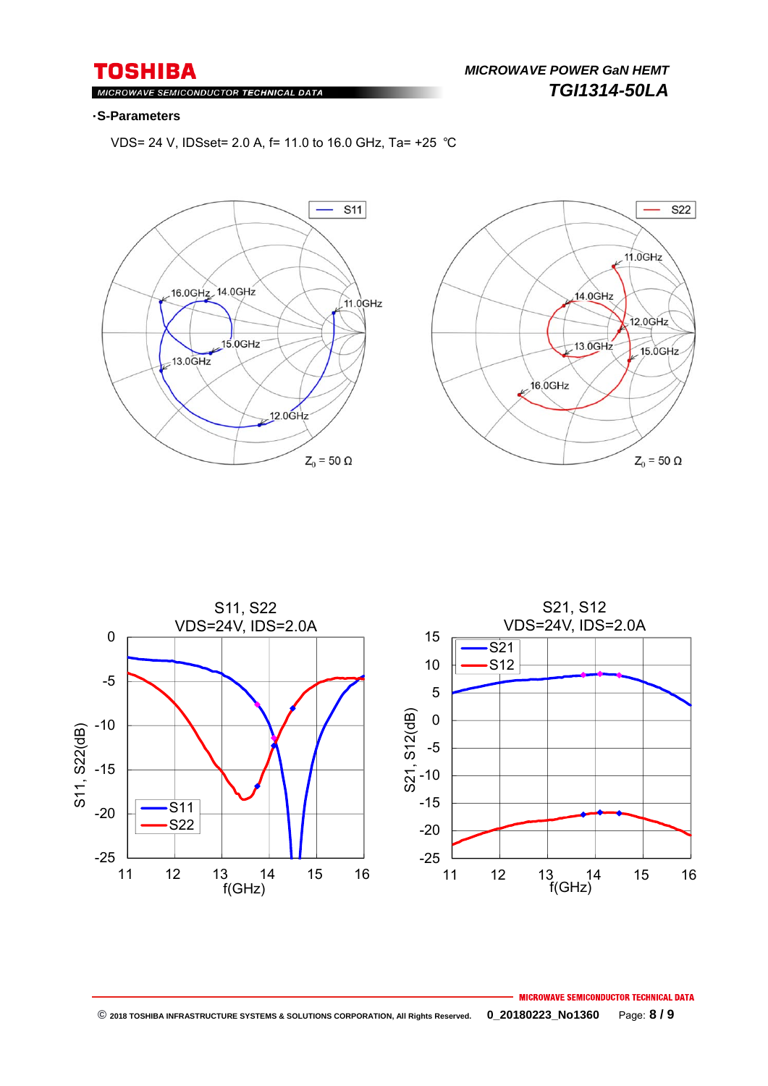### MICROWAVE SEMICONDUCTOR TECHNICAL DATA

#### ・**S-Parameters**

VDS= 24 V, IDSset= 2.0 A, f= 11.0 to 16.0 GHz, Ta= +25 ℃







**MICROWAVE SEMICONDUCTOR TECHNICAL DATA © 2018 TOSHIBA INFRASTRUCTURE SYSTEMS & SOLUTIONS CORPORATION, All Rights Reserved. 0\_20180223\_No1360** Page: **8 / 9**